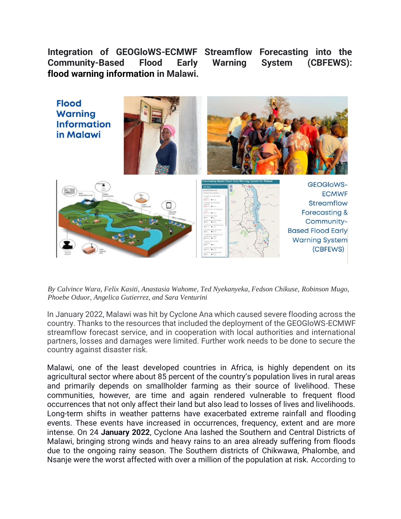**Integration of GEOGloWS-ECMWF Streamflow Forecasting into the Community-Based Flood Early Warning System (CBFEWS): flood warning information in Malawi.**



*By Calvince Wara, Felix Kasiti, Anastasia Wahome, Ted Nyekanyeka, Fedson Chikuse, Robinson Mugo, Phoebe Oduor, Angelica Gutierrez, and Sara Venturini*

In January 2022, Malawi was hit by Cyclone Ana which caused severe flooding across the country. Thanks to the resources that included the deployment of the GEOGloWS-ECMWF streamflow forecast service, and in cooperation with local authorities and international partners, losses and damages were limited. Further work needs to be done to secure the country against disaster risk.

Malawi, one of the least developed countries in Africa, is highly dependent on its agricultural sector where about 85 percent of the country's population lives in rural areas and primarily depends on smallholder farming as their source of livelihood. These communities, however, are time and again rendered vulnerable to frequent flood occurrences that not only affect their land but also lead to losses of lives and livelihoods. Long-term shifts in weather patterns have exacerbated extreme rainfall and flooding events. These events have increased in occurrences, frequency, extent and are more intense. On 24 **January 2022**, Cyclone Ana lashed the Southern and Central Districts of Malawi, bringing strong winds and heavy rains to an area already suffering from floods due to the ongoing rainy season. The Southern districts of Chikwawa, Phalombe, and Nsanje were the worst affected with over a million of the population at risk. According to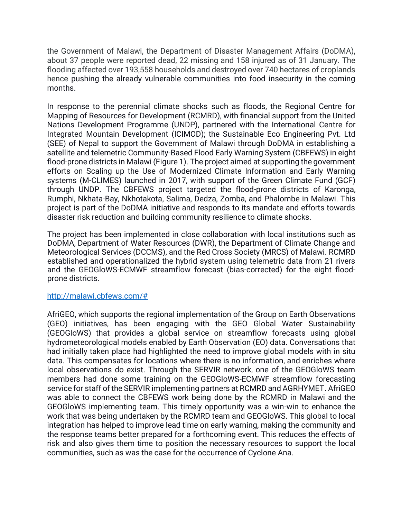the Government of Malawi, the Department of Disaster Management Affairs (DoDMA), about 37 people were reported dead, 22 missing and 158 injured as of 31 January. The flooding affected over 193,558 households and destroyed over 740 hectares of croplands hence pushing the already vulnerable communities into food insecurity in the coming months.

In response to the perennial climate shocks such as floods, the Regional Centre for Mapping of Resources for Development (RCMRD), with financial support from the United Nations Development Programme (UNDP), partnered with the International Centre for Integrated Mountain Development (ICIMOD); the Sustainable Eco Engineering Pvt. Ltd (SEE) of Nepal to support the Government of Malawi through DoDMA in establishing a satellite and telemetric Community-Based Flood Early Warning System (CBFEWS) in eight flood-prone districts in Malawi (Figure 1). The project aimed at supporting the government efforts on Scaling up the Use of Modernized Climate Information and Early Warning systems (M-CLIMES) launched in 2017, with support of the Green Climate Fund (GCF) through UNDP. The CBFEWS project targeted the flood-prone districts of Karonga, Rumphi, Nkhata-Bay, Nkhotakota, Salima, Dedza, Zomba, and Phalombe in Malawi. This project is part of the DoDMA initiative and responds to its mandate and efforts towards disaster risk reduction and building community resilience to climate shocks.

The project has been implemented in close collaboration with local institutions such as DoDMA, Department of Water Resources (DWR), the Department of Climate Change and Meteorological Services (DCCMS), and the Red Cross Society (MRCS) of Malawi. RCMRD established and operationalized the hybrid system using telemetric data from 21 rivers and the GEOGloWS-ECMWF streamflow forecast (bias-corrected) for the eight floodprone districts.

## http://malawi.cbfews.com/#

AfriGEO, which supports the regional implementation of the Group on Earth Observations (GEO) initiatives, has been engaging with the GEO Global Water Sustainability (GEOGloWS) that provides a global service on streamflow forecasts using global hydrometeorological models enabled by Earth Observation (EO) data. Conversations that had initially taken place had highlighted the need to improve global models with in situ data. This compensates for locations where there is no information, and enriches where local observations do exist. Through the SERVIR network, one of the GEOGloWS team members had done some training on the GEOGloWS-ECMWF streamflow forecasting service for staff of the SERVIR implementing partners at RCMRD and AGRHYMET. AfriGEO was able to connect the CBFEWS work being done by the RCMRD in Malawi and the GEOGloWS implementing team. This timely opportunity was a win-win to enhance the work that was being undertaken by the RCMRD team and GEOGloWS. This global to local integration has helped to improve lead time on early warning, making the community and the response teams better prepared for a forthcoming event. This reduces the effects of risk and also gives them time to position the necessary resources to support the local communities, such as was the case for the occurrence of Cyclone Ana.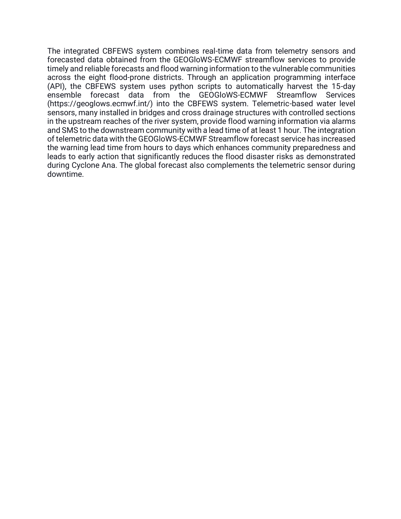The integrated CBFEWS system combines real-time data from telemetry sensors and forecasted data obtained from the GEOGloWS-ECMWF streamflow services to provide timely and reliable forecasts and flood warning information to the vulnerable communities across the eight flood-prone districts. Through an application programming interface (API), the CBFEWS system uses python scripts to automatically harvest the 15-day ensemble forecast data from the GEOGloWS-ECMWF Streamflow Services (https://geoglows.ecmwf.int/) into the CBFEWS system. Telemetric-based water level sensors, many installed in bridges and cross drainage structures with controlled sections in the upstream reaches of the river system, provide flood warning information via alarms and SMS to the downstream community with a lead time of at least 1 hour. The integration of telemetric data with the GEOGloWS-ECMWF Streamflow forecast service has increased the warning lead time from hours to days which enhances community preparedness and leads to early action that significantly reduces the flood disaster risks as demonstrated during Cyclone Ana. The global forecast also complements the telemetric sensor during downtime.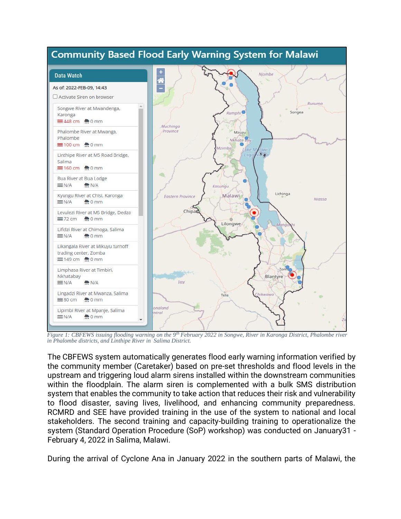

*Figure 1: CBFEWS issuing flooding warning on the 9th February 2022 in Songwe, River in Karonga District, Phalombe river in Phalombe districts, and Linthipe River in Salima District.*

The CBFEWS system automatically generates flood early warning information verified by the community member (Caretaker) based on pre-set thresholds and flood levels in the upstream and triggering loud alarm sirens installed within the downstream communities within the floodplain. The alarm siren is complemented with a bulk SMS distribution system that enables the community to take action that reduces their risk and vulnerability to flood disaster, saving lives, livelihood, and enhancing community preparedness. RCMRD and SEE have provided training in the use of the system to national and local stakeholders. The second training and capacity-building training to operationalize the system (Standard Operation Procedure (SoP) workshop) was conducted on January31 - February 4, 2022 in Salima, Malawi.

During the arrival of Cyclone Ana in January 2022 in the southern parts of Malawi, the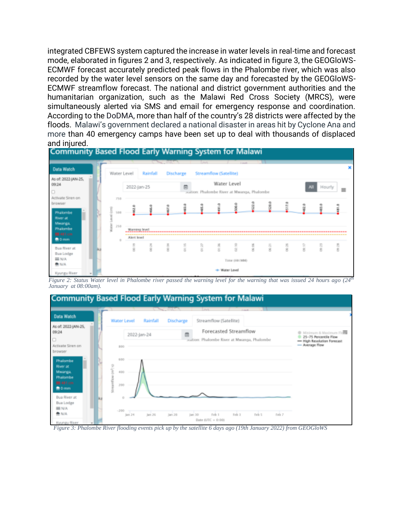integrated CBFEWS system captured the increase in water levels in real-time and forecast mode, elaborated in figures 2 and 3, respectively. As indicated in figure 3, the GEOGloWS-ECMWF forecast accurately predicted peak flows in the Phalombe river, which was also recorded by the water level sensors on the same day and forecasted by the GEOGloWS-ECMWF streamflow forecast. The national and district government authorities and the humanitarian organization, such as the Malawi Red Cross Society (MRCS), were simultaneously alerted via SMS and email for emergency response and coordination. According to the DoDMA, more than half of the country's 28 districts were affected by the floods. Malawi's government declared a national disaster in areas hit by Cyclone Ana and more than 40 emergency camps have been set up to deal with thousands of displaced



*Figure 2: Status Water level in Phalombe river passed the warning level for the warning that was issued 24 hours ago (24th January at 08:00am).*



*Figure 3: Phalombe River flooding events pick up by the satellite 6 days ago (19th January 2022) from GEOGloWS*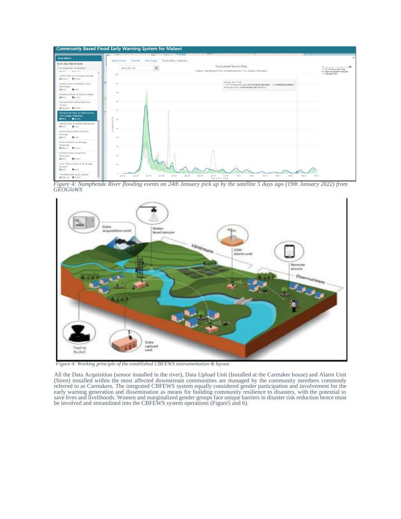

*Figure 4: Namphende River flooding events on 24th January pick up by the satellite 5 days ago (19th January 2022) from GEOGloWS*



*Figure 4: Working principle of the established CBFEWS instrumentation & layout.*

All the Data Acquisition (sensor installed in the river), Data Upload Unit (Installed at the Caretaker house) and Alarm Unit (Siren) installed within the most affected downstream communities are managed by the community members commonly referred to as Caretakers. The integrated CBFEWS system equally considered gender participation and involvement for the early warning generation and dissemination as means for building community resilience to disasters, with the potential to save lives and livelihoods. Women and marginalized gender groups face unique barriers in disaster risk reduction hence must be involved and streamlined into the CBFEWS system operations (Figure5 and 6).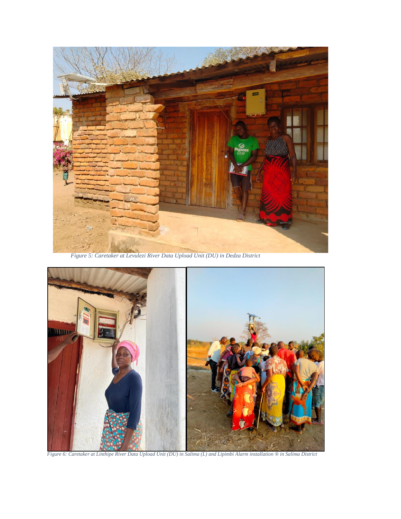

*Figure 5: Caretaker at Levulezi River Data Upload Unit (DU) in Dedza District*



*Figure 6: Caretaker at Linthipe River Data Upload Unit (DU) in Salima (L) and Lipimbi Alarm installation ® in Salima District*